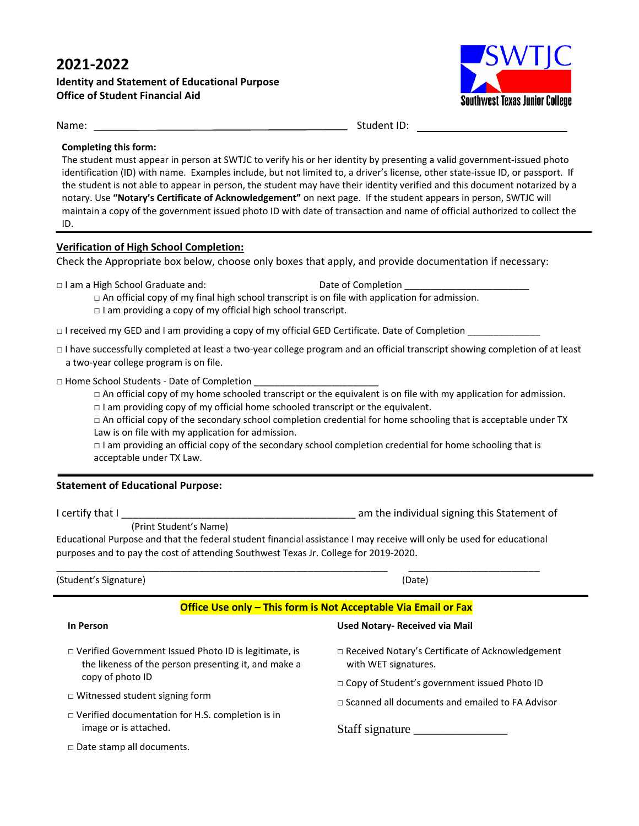# **2021-2022**

## **Identity and Statement of Educational Purpose Office of Student Financial Aid**



Name: Student ID:

#### **Completing this form:**

The student must appear in person at SWTJC to verify his or her identity by presenting a valid government-issued photo identification (ID) with name. Examples include, but not limited to, a driver's license, other state-issue ID, or passport. If the student is not able to appear in person, the student may have their identity verified and this document notarized by a notary. Use **"Notary's Certificate of Acknowledgement"** on next page. If the student appears in person, SWTJC will maintain a copy of the government issued photo ID with date of transaction and name of official authorized to collect the ID.

#### **Verification of High School Completion:**

Check the Appropriate box below, choose only boxes that apply, and provide documentation if necessary:

□ I am a High School Graduate and: Date of Completion

□ An official copy of my final high school transcript is on file with application for admission. □ I am providing a copy of my official high school transcript.

□ I received my GED and I am providing a copy of my official GED Certificate. Date of Completion \_\_\_\_\_\_\_\_\_\_\_\_\_\_

□ I have successfully completed at least a two-year college program and an official transcript showing completion of at least a two-year college program is on file.

 $\Box$  Home School Students - Date of Completion

□ An official copy of my home schooled transcript or the equivalent is on file with my application for admission.  $\Box$  I am providing copy of my official home schooled transcript or the equivalent.

 $\Box$  An official copy of the secondary school completion credential for home schooling that is acceptable under TX Law is on file with my application for admission.

□ I am providing an official copy of the secondary school completion credential for home schooling that is acceptable under TX Law.

### **Statement of Educational Purpose:**

I certify that I \_\_\_\_\_\_\_\_\_\_\_\_\_\_\_\_\_\_\_\_\_\_\_\_\_\_\_\_\_\_\_\_\_\_\_\_\_\_\_\_\_ am the individual signing this Statement of

(Print Student's Name)

.

Educational Purpose and that the federal student financial assistance I may receive will only be used for educational purposes and to pay the cost of attending Southwest Texas Jr. College for 2019-2020.

| (Student's Signature) | (Date) |
|-----------------------|--------|
|-----------------------|--------|

\_\_\_\_\_\_\_\_\_\_\_\_\_\_\_\_\_\_\_\_\_\_\_\_\_\_\_\_\_\_\_\_\_\_\_\_\_\_\_\_\_\_\_\_\_\_\_\_\_\_\_\_\_\_\_\_\_\_ \_\_\_\_\_\_\_\_\_\_\_\_\_\_\_\_\_\_\_\_\_\_\_

### **Office Use only – This form is Not Acceptable Via Email or Fax**

#### **In Person**

- □ Verified Government Issued Photo ID is legitimate, is the likeness of the person presenting it, and make a copy of photo ID
- □ Witnessed student signing form
- □ Verified documentation for H.S. completion is in image or is attached.
- □ Date stamp all documents.

#### **Used Notary- Received via Mail**

- □ Received Notary's Certificate of Acknowledgement with WET signatures.
- □ Copy of Student's government issued Photo ID
- □ Scanned all documents and emailed to FA Advisor

Staff signature \_\_\_\_\_\_\_\_\_\_\_\_\_\_\_